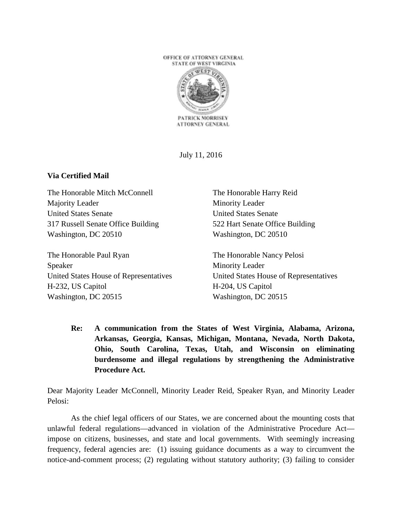

July 11, 2016

## **Via Certified Mail**

The Honorable Mitch McConnell Majority Leader United States Senate 317 Russell Senate Office Building Washington, DC 20510

The Honorable Paul Ryan Speaker United States House of Representatives H-232, US Capitol Washington, DC 20515

The Honorable Harry Reid Minority Leader United States Senate 522 Hart Senate Office Building Washington, DC 20510

The Honorable Nancy Pelosi Minority Leader United States House of Representatives H-204, US Capitol Washington, DC 20515

**Re: A communication from the States of West Virginia, Alabama, Arizona, Arkansas, Georgia, Kansas, Michigan, Montana, Nevada, North Dakota, Ohio, South Carolina, Texas, Utah, and Wisconsin on eliminating burdensome and illegal regulations by strengthening the Administrative Procedure Act.**

Dear Majority Leader McConnell, Minority Leader Reid, Speaker Ryan, and Minority Leader Pelosi:

As the chief legal officers of our States, we are concerned about the mounting costs that unlawful federal regulations—advanced in violation of the Administrative Procedure Act impose on citizens, businesses, and state and local governments. With seemingly increasing frequency, federal agencies are: (1) issuing guidance documents as a way to circumvent the notice-and-comment process; (2) regulating without statutory authority; (3) failing to consider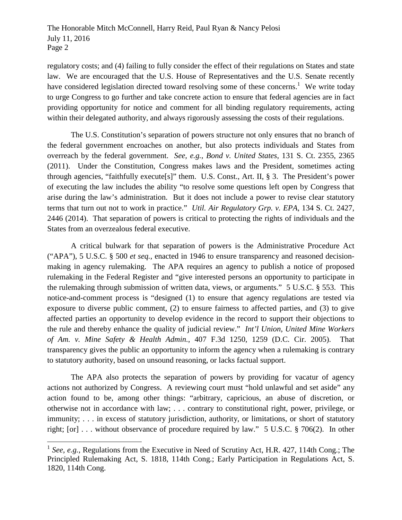regulatory costs; and (4) failing to fully consider the effect of their regulations on States and state law. We are encouraged that the U.S. House of Representatives and the U.S. Senate recently have considered legislation directed toward resolving some of these concerns.<sup>1</sup> We write today to urge Congress to go further and take concrete action to ensure that federal agencies are in fact providing opportunity for notice and comment for all binding regulatory requirements, acting within their delegated authority, and always rigorously assessing the costs of their regulations.

The U.S. Constitution's separation of powers structure not only ensures that no branch of the federal government encroaches on another, but also protects individuals and States from overreach by the federal government. *See, e.g.*, *Bond v. United States*, 131 S. Ct. 2355, 2365 (2011). Under the Constitution, Congress makes laws and the President, sometimes acting through agencies, "faithfully execute[s]" them. U.S. Const., Art. II, § 3. The President's power of executing the law includes the ability "to resolve some questions left open by Congress that arise during the law's administration. But it does not include a power to revise clear statutory terms that turn out not to work in practice." *Util. Air Regulatory Grp. v. EPA*, 134 S. Ct. 2427, 2446 (2014). That separation of powers is critical to protecting the rights of individuals and the States from an overzealous federal executive.

A critical bulwark for that separation of powers is the Administrative Procedure Act ("APA"), 5 U.S.C. § 500 *et seq.*, enacted in 1946 to ensure transparency and reasoned decisionmaking in agency rulemaking. The APA requires an agency to publish a notice of proposed rulemaking in the Federal Register and "give interested persons an opportunity to participate in the rulemaking through submission of written data, views, or arguments." 5 U.S.C. § 553. This notice-and-comment process is "designed (1) to ensure that agency regulations are tested via exposure to diverse public comment, (2) to ensure fairness to affected parties, and (3) to give affected parties an opportunity to develop evidence in the record to support their objections to the rule and thereby enhance the quality of judicial review." *Int'l Union, United Mine Workers of Am. v. Mine Safety & Health Admin.*, 407 F.3d 1250, 1259 (D.C. Cir. 2005). That transparency gives the public an opportunity to inform the agency when a rulemaking is contrary to statutory authority, based on unsound reasoning, or lacks factual support.

The APA also protects the separation of powers by providing for vacatur of agency actions not authorized by Congress. A reviewing court must "hold unlawful and set aside" any action found to be, among other things: "arbitrary, capricious, an abuse of discretion, or otherwise not in accordance with law; . . . contrary to constitutional right, power, privilege, or immunity; . . . in excess of statutory jurisdiction, authority, or limitations, or short of statutory right; [or] . . . without observance of procedure required by law." 5 U.S.C. § 706(2). In other

<sup>&</sup>lt;sup>1</sup> See, e.g., Regulations from the Executive in Need of Scrutiny Act, H.R. 427, 114th Cong.; The Principled Rulemaking Act, S. 1818, 114th Cong.; Early Participation in Regulations Act, S. 1820, 114th Cong.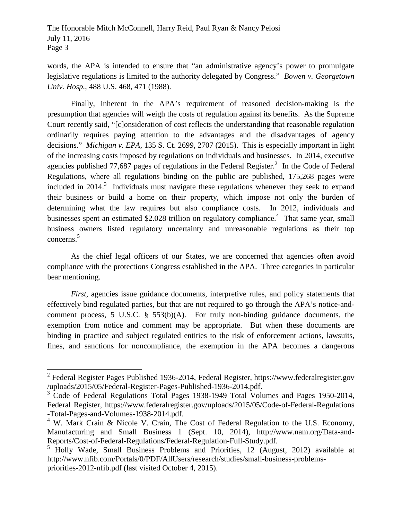words, the APA is intended to ensure that "an administrative agency's power to promulgate legislative regulations is limited to the authority delegated by Congress." *Bowen v. Georgetown Univ. Hosp.*, 488 U.S. 468, 471 (1988).

Finally, inherent in the APA's requirement of reasoned decision-making is the presumption that agencies will weigh the costs of regulation against its benefits. As the Supreme Court recently said, "[c]onsideration of cost reflects the understanding that reasonable regulation ordinarily requires paying attention to the advantages and the disadvantages of agency decisions." *Michigan v. EPA*, 135 S. Ct. 2699, 2707 (2015). This is especially important in light of the increasing costs imposed by regulations on individuals and businesses. In 2014, executive agencies published 77,687 pages of regulations in the Federal Register. $^2$  In the Code of Federal Regulations, where all regulations binding on the public are published, 175,268 pages were included in 2014.<sup>3</sup> Individuals must navigate these regulations whenever they seek to expand their business or build a home on their property, which impose not only the burden of determining what the law requires but also compliance costs. In 2012, individuals and businesses spent an estimated \$2.028 trillion on regulatory compliance.<sup>4</sup> That same year, small business owners listed regulatory uncertainty and unreasonable regulations as their top concerns.<sup>5</sup>

As the chief legal officers of our States, we are concerned that agencies often avoid compliance with the protections Congress established in the APA. Three categories in particular bear mentioning.

*First*, agencies issue guidance documents, interpretive rules, and policy statements that effectively bind regulated parties, but that are not required to go through the APA's notice-andcomment process, 5 U.S.C. § 553(b)(A). For truly non-binding guidance documents, the exemption from notice and comment may be appropriate. But when these documents are binding in practice and subject regulated entities to the risk of enforcement actions, lawsuits, fines, and sanctions for noncompliance, the exemption in the APA becomes a dangerous

<sup>&</sup>lt;sup>2</sup> Federal Register Pages Published 1936-2014, Federal Register, https://www.federalregister.gov /uploads/2015/05/Federal-Register-Pages-Published-1936-2014.pdf.

<sup>&</sup>lt;sup>3</sup> Code of Federal Regulations Total Pages 1938-1949 Total Volumes and Pages 1950-2014, Federal Register, https://www.federalregister.gov/uploads/2015/05/Code-of-Federal-Regulations -Total-Pages-and-Volumes-1938-2014.pdf.

 $4$  W. Mark Crain & Nicole V. Crain, The Cost of Federal Regulation to the U.S. Economy, Manufacturing and Small Business 1 (Sept. 10, 2014), http://www.nam.org/Data-and-Reports/Cost-of-Federal-Regulations/Federal-Regulation-Full-Study.pdf.

<sup>&</sup>lt;sup>5</sup> Holly Wade, Small Business Problems and Priorities, 12 (August, 2012) available at http://www.nfib.com/Portals/0/PDF/AllUsers/research/studies/small-business-problemspriorities-2012-nfib.pdf (last visited October 4, 2015).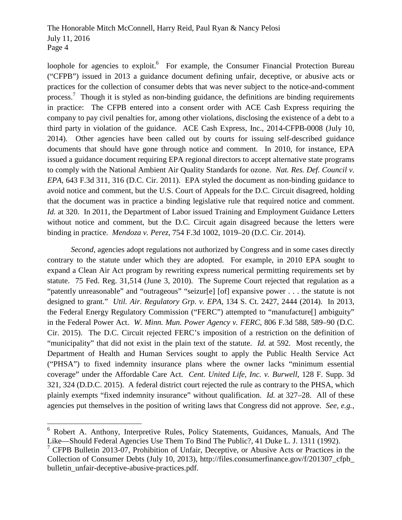loophole for agencies to exploit.<sup>6</sup> For example, the Consumer Financial Protection Bureau ("CFPB") issued in 2013 a guidance document defining unfair, deceptive, or abusive acts or practices for the collection of consumer debts that was never subject to the notice-and-comment process.<sup>7</sup> Though it is styled as non-binding guidance, the definitions are binding requirements in practice: The CFPB entered into a consent order with ACE Cash Express requiring the company to pay civil penalties for, among other violations, disclosing the existence of a debt to a third party in violation of the guidance. ACE Cash Express, Inc., 2014-CFPB-0008 (July 10, 2014). Other agencies have been called out by courts for issuing self-described guidance documents that should have gone through notice and comment. In 2010, for instance, EPA issued a guidance document requiring EPA regional directors to accept alternative state programs to comply with the National Ambient Air Quality Standards for ozone. *Nat. Res. Def. Council v. EPA*, 643 F.3d 311, 316 (D.C. Cir. 2011). EPA styled the document as non-binding guidance to avoid notice and comment, but the U.S. Court of Appeals for the D.C. Circuit disagreed, holding that the document was in practice a binding legislative rule that required notice and comment. *Id.* at 320. In 2011, the Department of Labor issued Training and Employment Guidance Letters without notice and comment, but the D.C. Circuit again disagreed because the letters were binding in practice. *Mendoza v. Perez*, 754 F.3d 1002, 1019–20 (D.C. Cir. 2014).

*Second*, agencies adopt regulations not authorized by Congress and in some cases directly contrary to the statute under which they are adopted. For example, in 2010 EPA sought to expand a Clean Air Act program by rewriting express numerical permitting requirements set by statute. 75 Fed. Reg. 31,514 (June 3, 2010). The Supreme Court rejected that regulation as a "patently unreasonable" and "outrageous" "seizur[e] [of] expansive power . . . the statute is not designed to grant." *Util. Air. Regulatory Grp. v. EPA*, 134 S. Ct. 2427, 2444 (2014). In 2013, the Federal Energy Regulatory Commission ("FERC") attempted to "manufacture[] ambiguity" in the Federal Power Act. *W. Minn. Mun. Power Agency v. FERC*, 806 F.3d 588, 589–90 (D.C. Cir. 2015). The D.C. Circuit rejected FERC's imposition of a restriction on the definition of "municipality" that did not exist in the plain text of the statute. *Id.* at 592. Most recently, the Department of Health and Human Services sought to apply the Public Health Service Act ("PHSA") to fixed indemnity insurance plans where the owner lacks "minimum essential coverage" under the Affordable Care Act. *Cent. United Life, Inc. v. Burwell*, 128 F. Supp. 3d 321, 324 (D.D.C. 2015). A federal district court rejected the rule as contrary to the PHSA, which plainly exempts "fixed indemnity insurance" without qualification. *Id.* at 327–28. All of these agencies put themselves in the position of writing laws that Congress did not approve. *See, e.g.*,

<sup>6</sup> Robert A. Anthony, Interpretive Rules, Policy Statements, Guidances, Manuals, And The Like—Should Federal Agencies Use Them To Bind The Public?, 41 Duke L. J. 1311 (1992).

<sup>&</sup>lt;sup>7</sup> CFPB Bulletin 2013-07, Prohibition of Unfair, Deceptive, or Abusive Acts or Practices in the Collection of Consumer Debts (July 10, 2013), http://files.consumerfinance.gov/f/201307\_cfpb\_ bulletin\_unfair-deceptive-abusive-practices.pdf.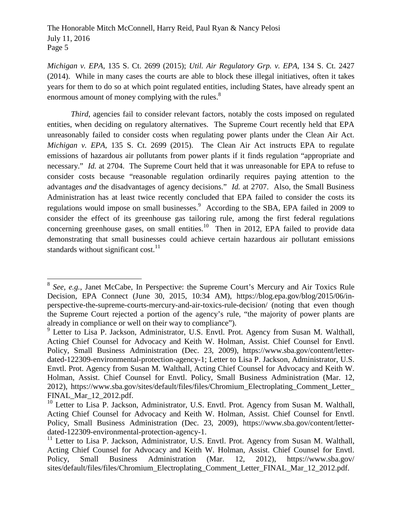*Michigan v. EPA*, 135 S. Ct. 2699 (2015); *Util. Air Regulatory Grp. v. EPA*, 134 S. Ct. 2427 (2014). While in many cases the courts are able to block these illegal initiatives, often it takes years for them to do so at which point regulated entities, including States, have already spent an enormous amount of money complying with the rules.<sup>8</sup>

*Third*, agencies fail to consider relevant factors, notably the costs imposed on regulated entities, when deciding on regulatory alternatives. The Supreme Court recently held that EPA unreasonably failed to consider costs when regulating power plants under the Clean Air Act. *Michigan v. EPA*, 135 S. Ct. 2699 (2015). The Clean Air Act instructs EPA to regulate emissions of hazardous air pollutants from power plants if it finds regulation "appropriate and necessary." *Id.* at 2704. The Supreme Court held that it was unreasonable for EPA to refuse to consider costs because "reasonable regulation ordinarily requires paying attention to the advantages *and* the disadvantages of agency decisions." *Id.* at 2707. Also, the Small Business Administration has at least twice recently concluded that EPA failed to consider the costs its regulations would impose on small businesses.<sup>9</sup> According to the SBA, EPA failed in 2009 to consider the effect of its greenhouse gas tailoring rule, among the first federal regulations concerning greenhouse gases, on small entities.<sup>10</sup> Then in 2012, EPA failed to provide data demonstrating that small businesses could achieve certain hazardous air pollutant emissions standards without significant  $cost<sup>11</sup>$ .

<sup>&</sup>lt;sup>8</sup> See, e.g., Janet McCabe, In Perspective: the Supreme Court's Mercury and Air Toxics Rule Decision, EPA Connect (June 30, 2015, 10:34 AM), https://blog.epa.gov/blog/2015/06/inperspective-the-supreme-courts-mercury-and-air-toxics-rule-decision/ (noting that even though the Supreme Court rejected a portion of the agency's rule, "the majority of power plants are already in compliance or well on their way to compliance").

<sup>&</sup>lt;sup>9</sup> Letter to Lisa P. Jackson, Administrator, U.S. Envtl. Prot. Agency from Susan M. Walthall, Acting Chief Counsel for Advocacy and Keith W. Holman, Assist. Chief Counsel for Envtl. Policy, Small Business Administration (Dec. 23, 2009), https://www.sba.gov/content/letterdated-122309-environmental-protection-agency-1; Letter to Lisa P. Jackson, Administrator, U.S. Envtl. Prot. Agency from Susan M. Walthall, Acting Chief Counsel for Advocacy and Keith W. Holman, Assist. Chief Counsel for Envtl. Policy, Small Business Administration (Mar. 12, 2012), https://www.sba.gov/sites/default/files/files/Chromium\_Electroplating\_Comment\_Letter\_ FINAL\_Mar\_12\_2012.pdf.

 $10$  Letter to Lisa P. Jackson, Administrator, U.S. Envtl. Prot. Agency from Susan M. Walthall, Acting Chief Counsel for Advocacy and Keith W. Holman, Assist. Chief Counsel for Envtl. Policy, Small Business Administration (Dec. 23, 2009), https://www.sba.gov/content/letterdated-122309-environmental-protection-agency-1.

<sup>&</sup>lt;sup>11</sup> Letter to Lisa P. Jackson, Administrator, U.S. Envtl. Prot. Agency from Susan M. Walthall, Acting Chief Counsel for Advocacy and Keith W. Holman, Assist. Chief Counsel for Envtl. Policy, Small Business Administration (Mar. 12, 2012), https://www.sba.gov/ sites/default/files/files/Chromium\_Electroplating\_Comment\_Letter\_FINAL\_Mar\_12\_2012.pdf.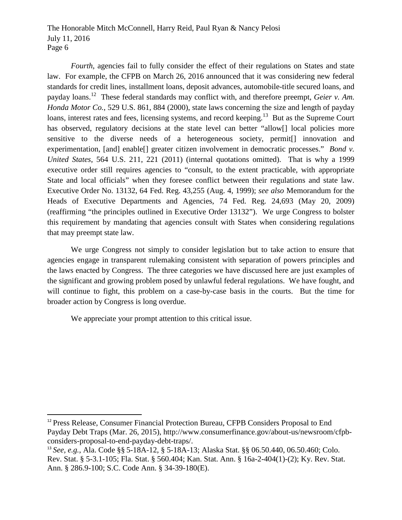*Fourth*, agencies fail to fully consider the effect of their regulations on States and state law. For example, the CFPB on March 26, 2016 announced that it was considering new federal standards for credit lines, installment loans, deposit advances, automobile-title secured loans, and payday loans.<sup>12</sup> These federal standards may conflict with, and therefore preempt, *Geier v. Am. Honda Motor Co.*, 529 U.S. 861, 884 (2000), state laws concerning the size and length of payday loans, interest rates and fees, licensing systems, and record keeping.<sup>13</sup> But as the Supreme Court has observed, regulatory decisions at the state level can better "allow<sup>[]</sup> local policies more sensitive to the diverse needs of a heterogeneous society, permit[] innovation and experimentation, [and] enable[] greater citizen involvement in democratic processes." *Bond v. United States*, 564 U.S. 211, 221 (2011) (internal quotations omitted). That is why a 1999 executive order still requires agencies to "consult, to the extent practicable, with appropriate State and local officials" when they foresee conflict between their regulations and state law. Executive Order No. 13132, 64 Fed. Reg. 43,255 (Aug. 4, 1999); *see also* Memorandum for the Heads of Executive Departments and Agencies, 74 Fed. Reg. 24,693 (May 20, 2009) (reaffirming "the principles outlined in Executive Order 13132"). We urge Congress to bolster this requirement by mandating that agencies consult with States when considering regulations that may preempt state law.

We urge Congress not simply to consider legislation but to take action to ensure that agencies engage in transparent rulemaking consistent with separation of powers principles and the laws enacted by Congress. The three categories we have discussed here are just examples of the significant and growing problem posed by unlawful federal regulations. We have fought, and will continue to fight, this problem on a case-by-case basis in the courts. But the time for broader action by Congress is long overdue.

We appreciate your prompt attention to this critical issue.

<sup>&</sup>lt;sup>12</sup> Press Release, Consumer Financial Protection Bureau, CFPB Considers Proposal to End Payday Debt Traps (Mar. 26, 2015), http://www.consumerfinance.gov/about-us/newsroom/cfpbconsiders-proposal-to-end-payday-debt-traps/.

<sup>13</sup> *See, e.g.*, Ala. Code §§ 5-18A-12, § 5-18A-13; Alaska Stat. §§ 06.50.440, 06.50.460; Colo. Rev. Stat. § 5-3.1-105; Fla. Stat. § 560.404; Kan. Stat. Ann. § 16a-2-404(1)-(2); Ky. Rev. Stat. Ann. § 286.9-100; S.C. Code Ann. § 34-39-180(E).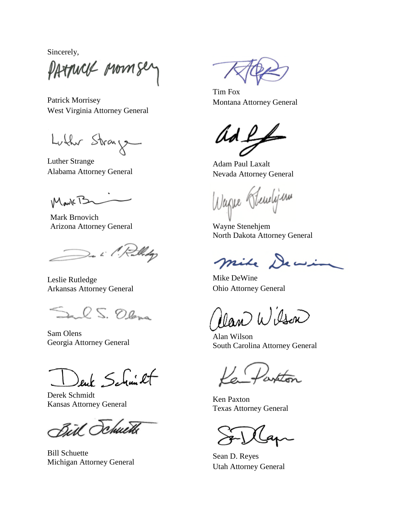Sincerely,

PATTUCK MOMSe

Patrick Morrisey West Virginia Attorney General

Luther Stray

Luther Strange Alabama Attorney General

MarkTS

Mark Brnovich Arizona Attorney General

De il Rollidge

Leslie Rutledge Arkansas Attorney General

Inch S. Olana

Sam Olens Georgia Attorney General

euk Schmicht

Derek Schmidt Kansas Attorney General

Bill Schuette

Bill Schuette Michigan Attorney General

Tim Fox Montana Attorney General

ad L

Adam Paul Laxalt Nevada Attorney General

Wagne Hendijan

Wayne Stenehjem North Dakota Attorney General

mile Dewin

Mike DeWine Ohio Attorney General

Man Wilson

Alan Wilson South Carolina Attorney General

Ken Paxton Texas Attorney General

Sean D. Reyes Utah Attorney General